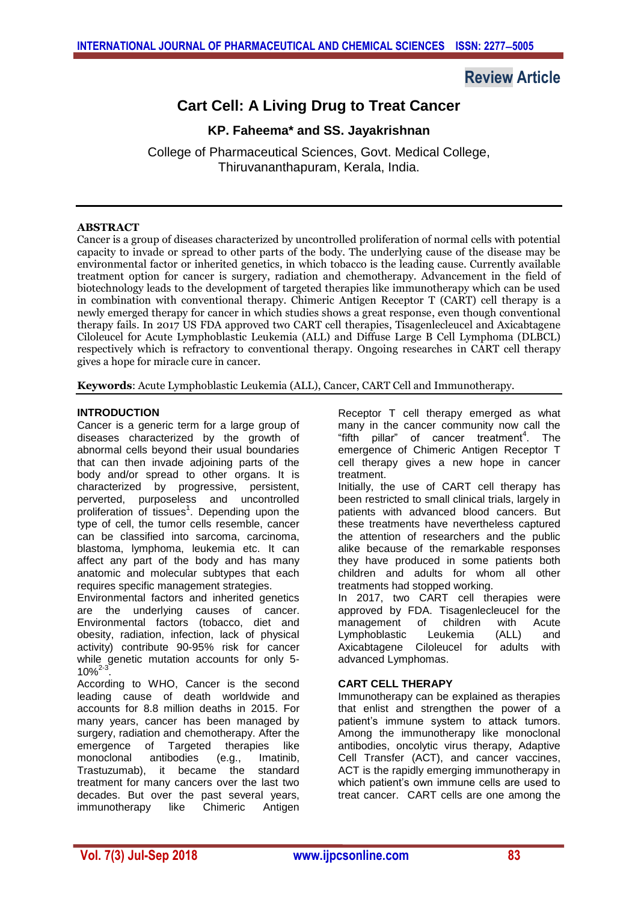# **Review Article**

# **Cart Cell: A Living Drug to Treat Cancer**

# **KP. Faheema\* and SS. Jayakrishnan**

College of Pharmaceutical Sciences, Govt. Medical College, Thiruvananthapuram, Kerala, India.

# **ABSTRACT**

Cancer is a group of diseases characterized by uncontrolled proliferation of normal cells with potential capacity to invade or spread to other parts of the body. The underlying cause of the disease may be environmental factor or inherited genetics, in which tobacco is the leading cause. Currently available treatment option for cancer is surgery, radiation and chemotherapy. Advancement in the field of biotechnology leads to the development of targeted therapies like immunotherapy which can be used in combination with conventional therapy. Chimeric Antigen Receptor T (CART) cell therapy is a newly emerged therapy for cancer in which studies shows a great response, even though conventional therapy fails. In 2017 US FDA approved two CART cell therapies, Tisagenlecleucel and Axicabtagene Ciloleucel for Acute Lymphoblastic Leukemia (ALL) and Diffuse Large B Cell Lymphoma (DLBCL) respectively which is refractory to conventional therapy. Ongoing researches in CART cell therapy gives a hope for miracle cure in cancer.

**Keywords**: Acute Lymphoblastic Leukemia (ALL), Cancer, CART Cell and Immunotherapy.

# **INTRODUCTION**

Cancer is a generic term for a large group of diseases characterized by the growth of abnormal cells beyond their usual boundaries that can then invade adjoining parts of the body and/or spread to other organs. It is characterized by progressive, persistent, perverted, purposeless and uncontrolled proliferation of tissues<sup>1</sup>. Depending upon the type of cell, the tumor cells resemble, cancer can be classified into sarcoma, carcinoma, blastoma, lymphoma, leukemia etc. It can affect any part of the body and has many anatomic and molecular subtypes that each requires specific management strategies.

Environmental factors and inherited genetics are the underlying causes of cancer. Environmental factors (tobacco, diet and obesity, radiation, infection, lack of physical activity) contribute 90-95% risk for cancer while genetic mutation accounts for only 5-  $10\%^{2-}$ .

According to WHO, Cancer is the second leading cause of death worldwide and accounts for 8.8 million deaths in 2015. For many years, cancer has been managed by surgery, radiation and chemotherapy. After the emergence of Targeted therapies like monoclonal antibodies (e.g., Imatinib, Trastuzumab), it became the standard treatment for many cancers over the last two decades. But over the past several years, immunotherapy like Chimeric Antigen

Receptor T cell therapy emerged as what many in the cancer community now call the "fifth pillar" of cancer treatment<sup>4</sup>. The emergence of Chimeric Antigen Receptor T cell therapy gives a new hope in cancer treatment.

Initially, the use of CART cell therapy has been restricted to small clinical trials, largely in patients with advanced blood cancers. But these treatments have nevertheless captured the attention of researchers and the public alike because of the remarkable responses they have produced in some patients both children and adults for whom all other treatments had stopped working.

In 2017, two CART cell therapies were approved by FDA. Tisagenlecleucel for the management of children with Acute Lymphoblastic Leukemia (ALL) and Axicabtagene Ciloleucel for adults with advanced Lymphomas.

# **CART CELL THERAPY**

Immunotherapy can be explained as therapies that enlist and strengthen the power of a patient's immune system to attack tumors. Among the immunotherapy like monoclonal antibodies, oncolytic virus therapy, Adaptive Cell Transfer (ACT), and cancer vaccines, ACT is the rapidly emerging immunotherapy in which patient's own immune cells are used to treat cancer. CART cells are one among the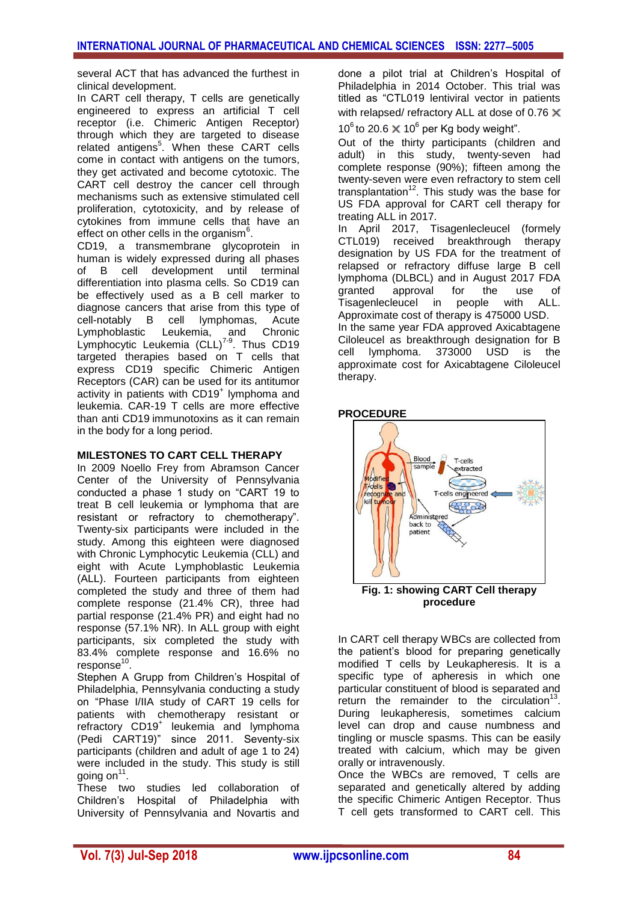several ACT that has advanced the furthest in clinical development.

In CART cell therapy, T cells are genetically engineered to express an artificial T cell receptor (i.e. Chimeric Antigen Receptor) through which they are targeted to disease related antigens<sup>5</sup>. When these CART cells come in contact with antigens on the tumors, they get activated and become cytotoxic. The CART cell destroy the cancer cell through mechanisms such as extensive stimulated cell proliferation, cytotoxicity, and by release of cytokines from immune cells that have an effect on other cells in the organism<sup>6</sup>.

CD19, a transmembrane glycoprotein in human is widely expressed during all phases of B cell development until terminal differentiation into plasma cells. So CD19 can be effectively used as a B cell marker to diagnose cancers that arise from this type of cell-notably B cell lymphomas, Acute Lymphoblastic Leukemia, and Chronic Lymphocytic Leukemia  $(CLL)^{7-9}$ . Thus CD19 targeted therapies based on T cells that express CD19 specific Chimeric Antigen Receptors (CAR) can be used for its antitumor activity in patients with CD19<sup>+</sup> lymphoma and leukemia. CAR-19 T cells are more effective than anti CD19 immunotoxins as it can remain in the body for a long period.

### **MILESTONES TO CART CELL THERAPY**

In 2009 Noello Frey from Abramson Cancer Center of the University of Pennsylvania conducted a phase 1 study on "CART 19 to treat B cell leukemia or lymphoma that are resistant or refractory to chemotherapy". Twenty-six participants were included in the study. Among this eighteen were diagnosed with Chronic Lymphocytic Leukemia (CLL) and eight with Acute Lymphoblastic Leukemia (ALL). Fourteen participants from eighteen completed the study and three of them had complete response (21.4% CR), three had partial response (21.4% PR) and eight had no response (57.1% NR). In ALL group with eight participants, six completed the study with 83.4% complete response and 16.6% no response<sup>10</sup>.

Stephen A Grupp from Children's Hospital of Philadelphia, Pennsylvania conducting a study on "Phase I/IIA study of CART 19 cells for patients with chemotherapy resistant or refractory CD19<sup>+</sup> leukemia and lymphoma (Pedi CART19)" since 2011. Seventy-six participants (children and adult of age 1 to 24) were included in the study. This study is still going on<sup>11</sup>.

These two studies led collaboration of Children's Hospital of Philadelphia with University of Pennsylvania and Novartis and

done a pilot trial at Children's Hospital of Philadelphia in 2014 October. This trial was titled as "CTL019 lentiviral vector in patients with relapsed/ refractory ALL at dose of 0.76  $\times$ 

10<sup>6</sup> to 20.6  $\times$  10<sup>6</sup> per Kg body weight".

Out of the thirty participants (children and adult) in this study, twenty-seven had complete response (90%); fifteen among the twenty-seven were even refractory to stem cell transplantation<sup>12</sup>. This study was the base for US FDA approval for CART cell therapy for treating ALL in 2017.

In April 2017, Tisagenlecleucel (formely CTL019) received breakthrough therapy designation by US FDA for the treatment of relapsed or refractory diffuse large B cell lymphoma (DLBCL) and in August 2017 FDA granted approval for the use of Tisagenlecleucel in people with ALL. Approximate cost of therapy is 475000 USD. In the same year FDA approved Axicabtagene Ciloleucel as breakthrough designation for B cell lymphoma. 373000 USD is the approximate cost for Axicabtagene Ciloleucel therapy.

### **PROCEDURE**



**Fig. 1: showing CART Cell therapy procedure**

In CART cell therapy WBCs are collected from the patient's blood for preparing genetically modified T cells by Leukapheresis. It is a specific type of apheresis in which one particular constituent of blood is separated and return the remainder to the circulation<sup>13</sup>. During leukapheresis, sometimes calcium level can drop and cause numbness and tingling or muscle spasms. This can be easily treated with calcium, which may be given orally or intravenously.

Once the WBCs are removed, T cells are separated and genetically altered by adding the specific Chimeric Antigen Receptor. Thus T cell gets transformed to CART cell. This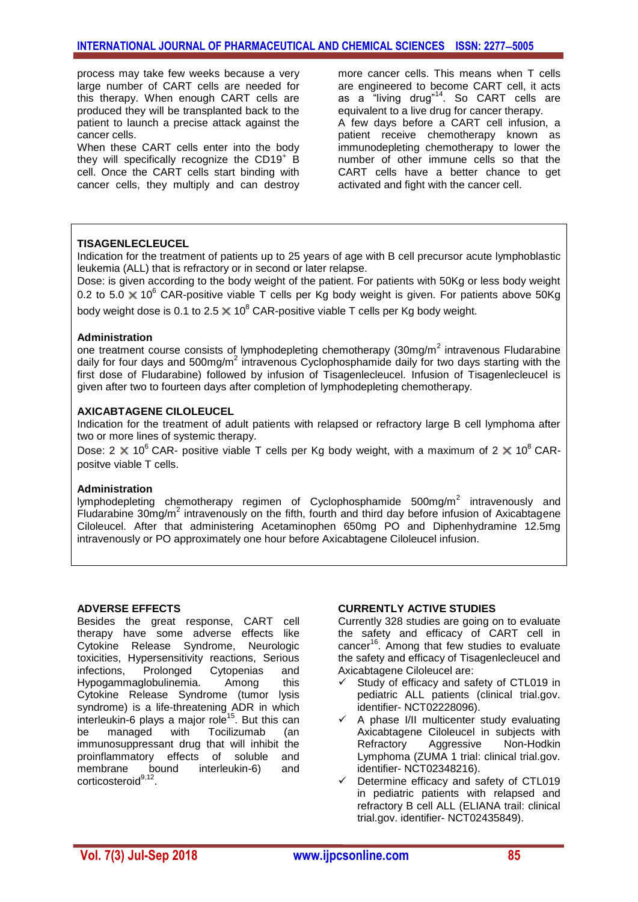process may take few weeks because a very large number of CART cells are needed for this therapy. When enough CART cells are produced they will be transplanted back to the patient to launch a precise attack against the cancer cells.

When these CART cells enter into the body they will specifically recognize the CD19 $^+$  B cell. Once the CART cells start binding with cancer cells, they multiply and can destroy more cancer cells. This means when T cells are engineered to become CART cell, it acts as a "living drug"<sup>14</sup>. So CART cells are equivalent to a live drug for cancer therapy. A few days before a CART cell infusion, a patient receive chemotherapy known as immunodepleting chemotherapy to lower the number of other immune cells so that the CART cells have a better chance to get activated and fight with the cancer cell.

### **TISAGENLECLEUCEL**

Indication for the treatment of patients up to 25 years of age with B cell precursor acute lymphoblastic leukemia (ALL) that is refractory or in second or later relapse.

Dose: is given according to the body weight of the patient. For patients with 50Kg or less body weight 0.2 to 5.0  $\times$  10<sup>6</sup> CAR-positive viable T cells per Kg body weight is given. For patients above 50Kg body weight dose is 0.1 to 2.5  $\times$  10<sup>8</sup> CAR-positive viable T cells per Kg body weight.

#### **Administration**

one treatment course consists of lymphodepleting chemotherapy (30mg/m<sup>2</sup> intravenous Fludarabine daily for four days and 500mg/ $m^2$  intravenous Cyclophosphamide daily for two days starting with the first dose of Fludarabine) followed by infusion of Tisagenlecleucel. Infusion of Tisagenlecleucel is given after two to fourteen days after completion of lymphodepleting chemotherapy.

#### **AXICABTAGENE CILOLEUCEL**

Indication for the treatment of adult patients with relapsed or refractory large B cell lymphoma after two or more lines of systemic therapy.

Dose: 2  $\times$  10<sup>6</sup> CAR- positive viable T cells per Kg body weight, with a maximum of 2  $\times$  10<sup>8</sup> CARpositve viable T cells.

#### **Administration**

lymphodepleting chemotherapy regimen of Cyclophosphamide 500mg/m<sup>2</sup> intravenously and Fludarabine 30mg/m<sup>2</sup> intravenously on the fifth, fourth and third day before infusion of Axicabtagene Ciloleucel. After that administering Acetaminophen 650mg PO and Diphenhydramine 12.5mg intravenously or PO approximately one hour before Axicabtagene Ciloleucel infusion.

#### **ADVERSE EFFECTS**

Besides the great response, CART cell therapy have some adverse effects like Cytokine Release Syndrome, Neurologic toxicities, Hypersensitivity reactions, Serious infections, Prolonged Cytopenias and Hypogammaglobulinemia. Among this Cytokine Release Syndrome (tumor lysis syndrome) is a life-threatening ADR in which interleukin-6 plays a major role<sup>15</sup>. But this can be managed with Tocilizumab (an immunosuppressant drug that will inhibit the proinflammatory effects of soluble and membrane bound interleukin-6) and corticosteroid<sup>9,12</sup>.

#### **CURRENTLY ACTIVE STUDIES**

Currently 328 studies are going on to evaluate the safety and efficacy of CART cell in cancer<sup>16</sup>. Among that few studies to evaluate the safety and efficacy of Tisagenlecleucel and Axicabtagene Ciloleucel are:

- Study of efficacy and safety of CTL019 in pediatric ALL patients (clinical trial.gov. identifier- NCT02228096).
- A phase I/II multicenter study evaluating Axicabtagene Ciloleucel in subjects with Refractory Aggressive Non-Hodkin Lymphoma (ZUMA 1 trial: clinical trial.gov. identifier- NCT02348216).
- Determine efficacy and safety of CTL019 in pediatric patients with relapsed and refractory B cell ALL (ELIANA trail: clinical trial.gov. identifier- NCT02435849).